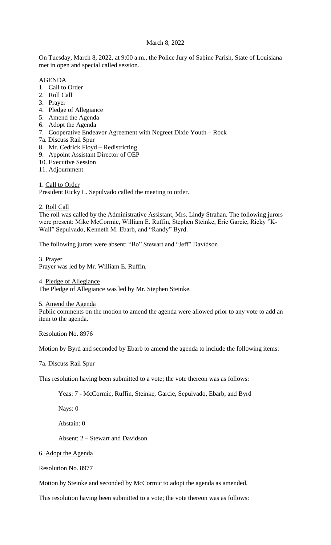# March 8, 2022

On Tuesday, March 8, 2022, at 9:00 a.m., the Police Jury of Sabine Parish, State of Louisiana met in open and special called session.

## AGENDA

- 1. Call to Order
- 2. Roll Call
- 3. Prayer
- 4. Pledge of Allegiance
- 5. Amend the Agenda
- 6. Adopt the Agenda
- 7. Cooperative Endeavor Agreement with Negreet Dixie Youth Rock
- 7a. Discuss Rail Spur
- 8. Mr. Cedrick Floyd Redistricting
- 9. Appoint Assistant Director of OEP
- 10. Executive Session
- 11. Adjournment

1. Call to Order President Ricky L. Sepulvado called the meeting to order.

2. Roll Call

The roll was called by the Administrative Assistant, Mrs. Lindy Strahan. The following jurors were present: Mike McCormic, William E. Ruffin, Stephen Steinke, Eric Garcie, Ricky "K-Wall" Sepulvado, Kenneth M. Ebarb, and "Randy" Byrd.

The following jurors were absent: "Bo" Stewart and "Jeff" Davidson

3. Prayer Prayer was led by Mr. William E. Ruffin.

4. Pledge of Allegiance

The Pledge of Allegiance was led by Mr. Stephen Steinke.

5. Amend the Agenda

Public comments on the motion to amend the agenda were allowed prior to any vote to add an item to the agenda.

Resolution No. 8976

Motion by Byrd and seconded by Ebarb to amend the agenda to include the following items:

7a. Discuss Rail Spur

This resolution having been submitted to a vote; the vote thereon was as follows:

Yeas: 7 - McCormic, Ruffin, Steinke, Garcie, Sepulvado, Ebarb, and Byrd

Nays: 0

Abstain: 0

Absent: 2 – Stewart and Davidson

6. Adopt the Agenda

Resolution No. 8977

Motion by Steinke and seconded by McCormic to adopt the agenda as amended.

This resolution having been submitted to a vote; the vote thereon was as follows: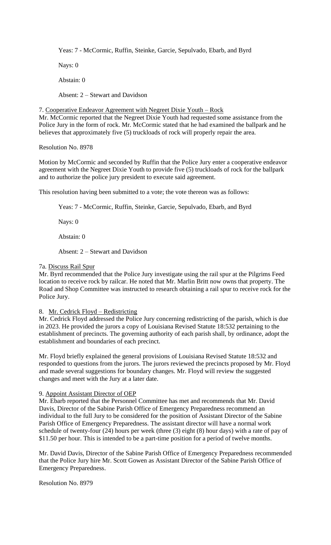Yeas: 7 - McCormic, Ruffin, Steinke, Garcie, Sepulvado, Ebarb, and Byrd

Nays: 0

Abstain: 0

Absent: 2 – Stewart and Davidson

7. Cooperative Endeavor Agreement with Negreet Dixie Youth – Rock Mr. McCormic reported that the Negreet Dixie Youth had requested some assistance from the Police Jury in the form of rock. Mr. McCormic stated that he had examined the ballpark and he believes that approximately five (5) truckloads of rock will properly repair the area.

Resolution No. 8978

Motion by McCormic and seconded by Ruffin that the Police Jury enter a cooperative endeavor agreement with the Negreet Dixie Youth to provide five (5) truckloads of rock for the ballpark and to authorize the police jury president to execute said agreement.

This resolution having been submitted to a vote; the vote thereon was as follows:

Yeas: 7 - McCormic, Ruffin, Steinke, Garcie, Sepulvado, Ebarb, and Byrd

Nays: 0

Abstain: 0

Absent: 2 – Stewart and Davidson

# 7a. Discuss Rail Spur

Mr. Byrd recommended that the Police Jury investigate using the rail spur at the Pilgrims Feed location to receive rock by railcar. He noted that Mr. Marlin Britt now owns that property. The Road and Shop Committee was instructed to research obtaining a rail spur to receive rock for the Police Jury.

# 8. Mr. Cedrick Floyd – Redistricting

Mr. Cedrick Floyd addressed the Police Jury concerning redistricting of the parish, which is due in 2023. He provided the jurors a copy of Louisiana Revised Statute 18:532 pertaining to the establishment of precincts. The governing authority of each parish shall, by ordinance, adopt the establishment and boundaries of each precinct.

Mr. Floyd briefly explained the general provisions of Louisiana Revised Statute 18:532 and responded to questions from the jurors. The jurors reviewed the precincts proposed by Mr. Floyd and made several suggestions for boundary changes. Mr. Floyd will review the suggested changes and meet with the Jury at a later date.

# 9. Appoint Assistant Director of OEP

Mr. Ebarb reported that the Personnel Committee has met and recommends that Mr. David Davis, Director of the Sabine Parish Office of Emergency Preparedness recommend an individual to the full Jury to be considered for the position of Assistant Director of the Sabine Parish Office of Emergency Preparedness. The assistant director will have a normal work schedule of twenty-four (24) hours per week (three (3) eight (8) hour days) with a rate of pay of \$11.50 per hour. This is intended to be a part-time position for a period of twelve months.

Mr. David Davis, Director of the Sabine Parish Office of Emergency Preparedness recommended that the Police Jury hire Mr. Scott Gowen as Assistant Director of the Sabine Parish Office of Emergency Preparedness.

Resolution No. 8979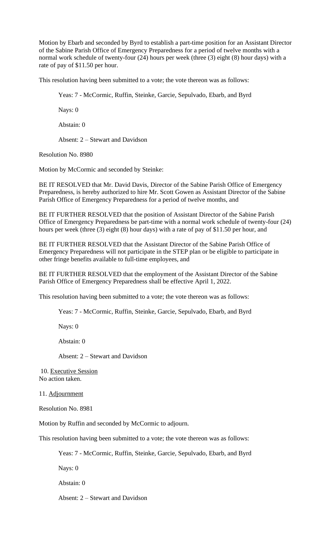Motion by Ebarb and seconded by Byrd to establish a part-time position for an Assistant Director of the Sabine Parish Office of Emergency Preparedness for a period of twelve months with a normal work schedule of twenty-four (24) hours per week (three (3) eight (8) hour days) with a rate of pay of \$11.50 per hour.

This resolution having been submitted to a vote; the vote thereon was as follows:

Yeas: 7 - McCormic, Ruffin, Steinke, Garcie, Sepulvado, Ebarb, and Byrd

Nays: 0

Abstain: 0

Absent: 2 – Stewart and Davidson

Resolution No. 8980

Motion by McCormic and seconded by Steinke:

BE IT RESOLVED that Mr. David Davis, Director of the Sabine Parish Office of Emergency Preparedness, is hereby authorized to hire Mr. Scott Gowen as Assistant Director of the Sabine Parish Office of Emergency Preparedness for a period of twelve months, and

BE IT FURTHER RESOLVED that the position of Assistant Director of the Sabine Parish Office of Emergency Preparedness be part-time with a normal work schedule of twenty-four (24) hours per week (three (3) eight (8) hour days) with a rate of pay of \$11.50 per hour, and

BE IT FURTHER RESOLVED that the Assistant Director of the Sabine Parish Office of Emergency Preparedness will not participate in the STEP plan or be eligible to participate in other fringe benefits available to full-time employees, and

BE IT FURTHER RESOLVED that the employment of the Assistant Director of the Sabine Parish Office of Emergency Preparedness shall be effective April 1, 2022.

This resolution having been submitted to a vote; the vote thereon was as follows:

Yeas: 7 - McCormic, Ruffin, Steinke, Garcie, Sepulvado, Ebarb, and Byrd

Nays: 0

Abstain: 0

Absent: 2 – Stewart and Davidson

10. Executive Session No action taken.

11. Adjournment

Resolution No. 8981

Motion by Ruffin and seconded by McCormic to adjourn.

This resolution having been submitted to a vote; the vote thereon was as follows:

Yeas: 7 - McCormic, Ruffin, Steinke, Garcie, Sepulvado, Ebarb, and Byrd

Nays: 0

Abstain: 0

Absent: 2 – Stewart and Davidson